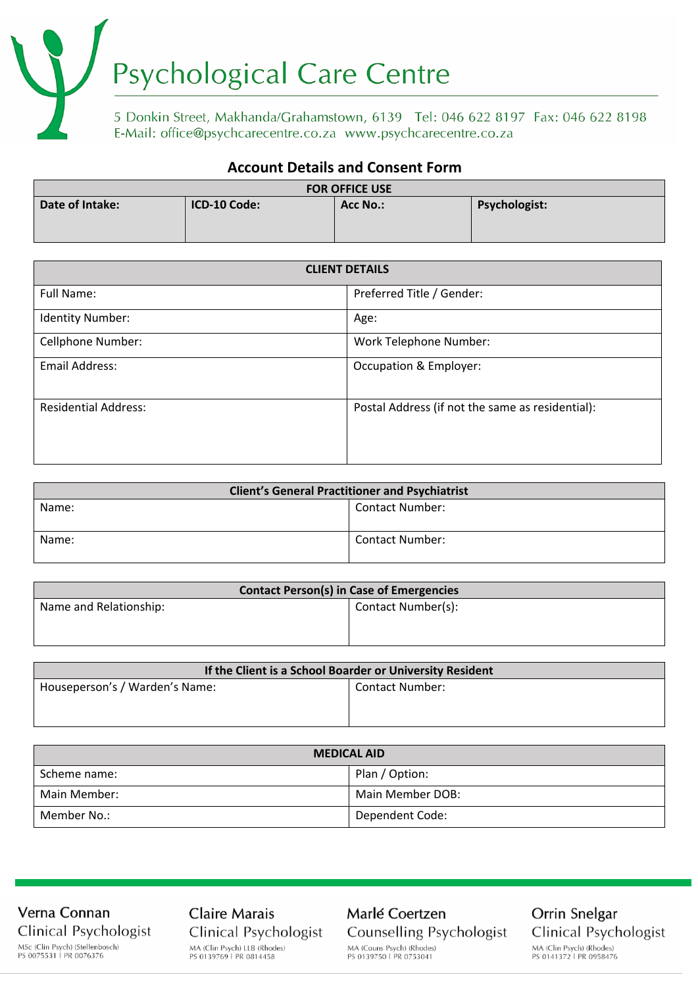# Psychological Care Centre

5 Donkin Street, Makhanda/Grahamstown, 6139 Tel: 046 622 8197 Fax: 046 622 8198<br>E-Mail: office@psychcarecentre.co.za www.psychcarecentre.co.za

# **Account Details and Consent Form**

| <b>FOR OFFICE USE</b> |              |          |                      |
|-----------------------|--------------|----------|----------------------|
| Date of Intake:       | ICD-10 Code: | Acc No.: | <b>Psychologist:</b> |

| <b>CLIENT DETAILS</b>       |                                                  |
|-----------------------------|--------------------------------------------------|
| Full Name:                  | Preferred Title / Gender:                        |
| <b>Identity Number:</b>     | Age:                                             |
| Cellphone Number:           | Work Telephone Number:                           |
| <b>Email Address:</b>       | Occupation & Employer:                           |
| <b>Residential Address:</b> | Postal Address (if not the same as residential): |

| <b>Client's General Practitioner and Psychiatrist</b> |                        |  |
|-------------------------------------------------------|------------------------|--|
| Name:                                                 | <b>Contact Number:</b> |  |
| Name:                                                 | <b>Contact Number:</b> |  |

| <b>Contact Person(s) in Case of Emergencies</b> |                    |  |
|-------------------------------------------------|--------------------|--|
| Name and Relationship:                          | Contact Number(s): |  |
|                                                 |                    |  |

| If the Client is a School Boarder or University Resident |                 |  |
|----------------------------------------------------------|-----------------|--|
| Houseperson's / Warden's Name:                           | Contact Number: |  |
|                                                          |                 |  |
|                                                          |                 |  |

| <b>MEDICAL AID</b> |                  |  |
|--------------------|------------------|--|
| Scheme name:       | Plan / Option:   |  |
| Main Member:       | Main Member DOB: |  |
| Member No.:        | Dependent Code:  |  |

Verna Connan Clinical Psychologist MSc (Clin Psych) (Stellenbosch)<br>PS 0075531 | PR 0076376

**Claire Marais** Clinical Psychologist MA (Clin Psych) LLB (Rhodes)<br>PS 0139769 | PR 0814458

Marlé Coertzen Counselling Psychologist MA (Couns Psych) (Rhodes)<br>PS 0139750 | PR 0753041

Orrin Snelgar Clinical Psychologist MA (Clin Psych) (Rhodes) PS 0141372 | PR 0958476